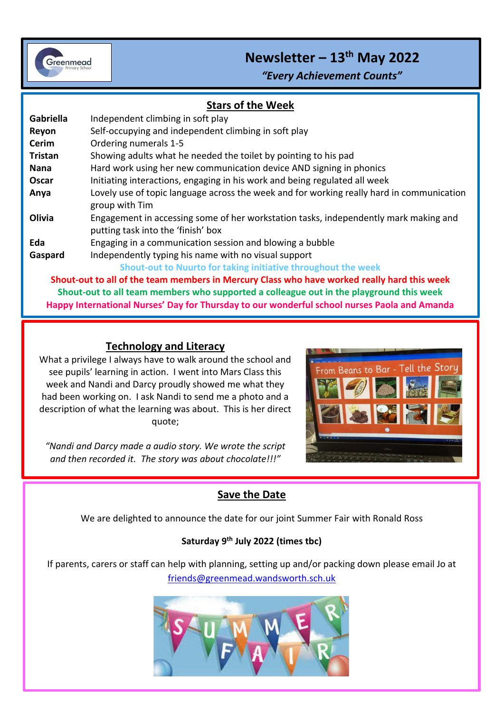

# **Newsletter – 13th May 2022**

*"Every Achievement Counts"*

#### **Stars of the Week**

i<br>I

| Gabriella                                                                                                      | Independent climbing in soft play                                                                                          |
|----------------------------------------------------------------------------------------------------------------|----------------------------------------------------------------------------------------------------------------------------|
| Reyon                                                                                                          | Self-occupying and independent climbing in soft play                                                                       |
| <b>Cerim</b>                                                                                                   | Ordering numerals 1-5                                                                                                      |
| <b>Tristan</b>                                                                                                 | Showing adults what he needed the toilet by pointing to his pad                                                            |
| Nana                                                                                                           | Hard work using her new communication device AND signing in phonics                                                        |
| Oscar                                                                                                          | Initiating interactions, engaging in his work and being regulated all week                                                 |
| Anya                                                                                                           | Lovely use of topic language across the week and for working really hard in communication<br>group with Tim                |
| Olivia                                                                                                         | Engagement in accessing some of her workstation tasks, independently mark making and<br>putting task into the 'finish' box |
| Eda                                                                                                            | Engaging in a communication session and blowing a bubble                                                                   |
| Gaspard                                                                                                        | Independently typing his name with no visual support                                                                       |
|                                                                                                                | Shout-out to Nuurto for taking initiative throughout the week                                                              |
| Shout-out to all of the team members in Mercury Class who have worked really hard this week                    |                                                                                                                            |
| الملحود والملقاء المستحدث والمساوي والقامس والمستحدث المستحدد والمستحدث والمستحدث والمستحدث المستحدث والمستحدث |                                                                                                                            |

**Shout-out to all team members who supported a colleague out in the playground this week Happy International Nurses' Day for Thursday to our wonderful school nurses Paola and Amanda**

#### **Technology and Literacy**

What a privilege I always have to walk around the school and see pupils' learning in action. I went into Mars Class this week and Nandi and Darcy proudly showed me what they had been working on. I ask Nandi to send me a photo and a description of what the learning was about. This is her direct quote;

*"Nandi and Darcy made a audio story. We wrote the script and then recorded it. The story was about chocolate!!!"*



## **Save the Date**

We are delighted to announce the date for our joint Summer Fair with Ronald Ross

#### **Saturday 9th July 2022 (times tbc)**

If parents, carers or staff can help with planning, setting up and/or packing down please email Jo at [friends@greenmead.wandsworth.sch.uk](mailto:friends@greenmead.wandsworth.sch.uk)

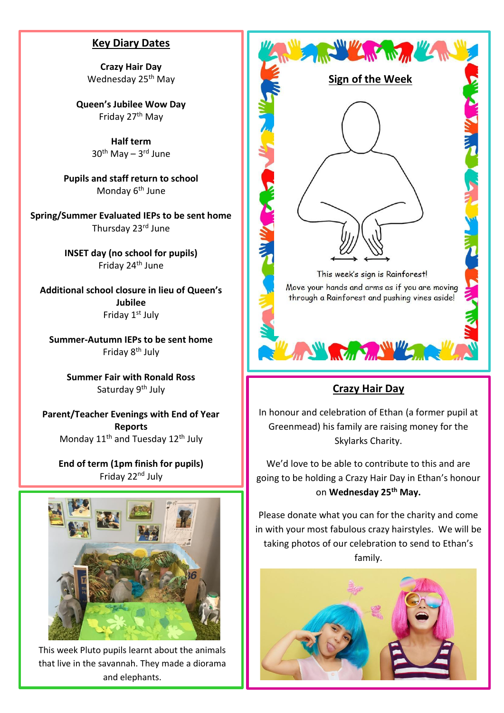#### **Key Diary Dates**

**Crazy Hair Day** Wednesday 25<sup>th</sup> May

**Queen's Jubilee Wow Day** Friday 27th May

> **Half term** 30<sup>th</sup> May – 3<sup>rd</sup> June

**Pupils and staff return to school** Monday 6<sup>th</sup> June

**Spring/Summer Evaluated IEPs to be sent home** Thursday 23rd June

> **INSET day (no school for pupils)** Friday 24th June

**Additional school closure in lieu of Queen's Jubilee** Friday 1<sup>st</sup> July

**Summer-Autumn IEPs to be sent home** Friday 8<sup>th</sup> July

> **Summer Fair with Ronald Ross** Saturday 9<sup>th</sup> July

**Parent/Teacher Evenings with End of Year Reports** Monday 11<sup>th</sup> and Tuesday 12<sup>th</sup> July

**End of term (1pm finish for pupils)** Friday 22nd July



This week Pluto pupils learnt about the animals that live in the savannah. They made a diorama and elephants.



## **Crazy Hair Day**

In honour and celebration of Ethan (a former pupil at Greenmead) his family are raising money for the Skylarks Charity.

We'd love to be able to contribute to this and are going to be holding a Crazy Hair Day in Ethan's honour on **Wednesday 25th May.**

Please donate what you can for the charity and come in with your most fabulous crazy hairstyles. We will be taking photos of our celebration to send to Ethan's family.

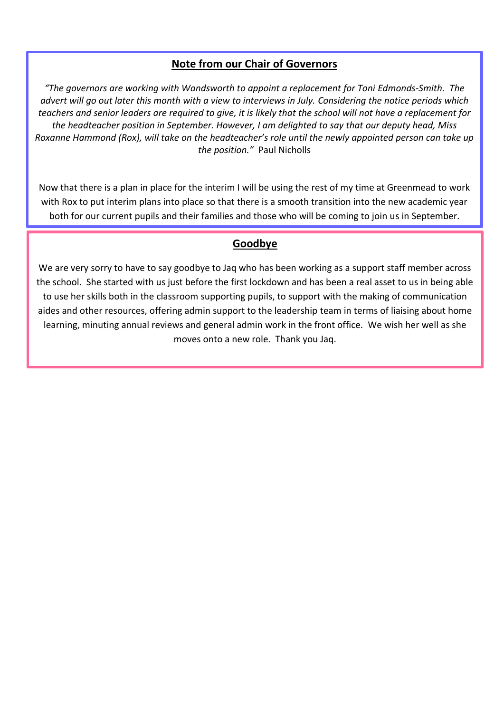#### **Note from our Chair of Governors**

*"The governors are working with Wandsworth to appoint a replacement for Toni Edmonds-Smith. The advert will go out later this month with a view to interviews in July. Considering the notice periods which teachers and senior leaders are required to give, it is likely that the school will not have a replacement for the headteacher position in September. However, I am delighted to say that our deputy head, Miss Roxanne Hammond (Rox), will take on the headteacher's role until the newly appointed person can take up the position."* Paul Nicholls

Now that there is a plan in place for the interim I will be using the rest of my time at Greenmead to work with Rox to put interim plans into place so that there is a smooth transition into the new academic year both for our current pupils and their families and those who will be coming to join us in September.

#### **Goodbye**

We are very sorry to have to say goodbye to Jaq who has been working as a support staff member across the school. She started with us just before the first lockdown and has been a real asset to us in being able to use her skills both in the classroom supporting pupils, to support with the making of communication aides and other resources, offering admin support to the leadership team in terms of liaising about home learning, minuting annual reviews and general admin work in the front office. We wish her well as she moves onto a new role. Thank you Jaq.